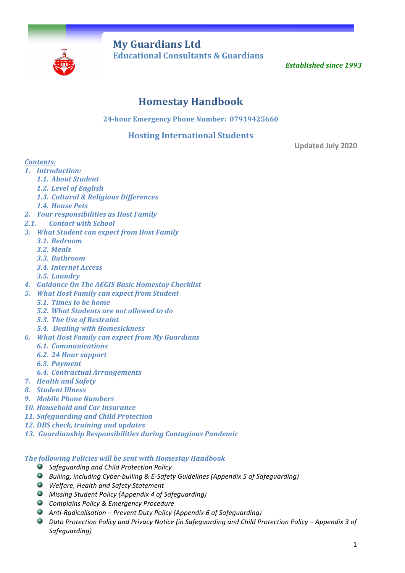

**My Guardians Ltd** **Educational Consultants & Guardians** 

**Established since 1993** 

# **Homestay Handbook**

**24-hour Emergency Phone Number: 07919425660** 

## **Hosting International Students**

**Updated July 2020**

## *Contents:*

- *1. Introduction:*
	- *1.1. About Student*
	- *1.2. Level of English*
	- *1.3. Cultural & Religious Differences*
	- *1.4. House Pets*
- *2. Your responsibilities as Host Family*
- 2.1. *Contact with School*
- *3. What Student can expect from Host Family*
	- *3.1. Bedroom*
	- *3.2. Meals*
	- *3.3. Bathroom*
	- *3.4. Internet Access*
	- *3.5. Laundry*
- *4. Guidance On The AEGIS Basic Homestay Checklist*
- *5. What Host Family can expect from Student*
	- *5.1. Times to be home*
	- *5.2. What Students are not allowed to do*
	- *5.3. The Use of Restraint*
	- *5.4. Dealing with Homesickness*
- *6. What Host Family can expect from My Guardians*
	- *6.1. Communications*
	- *6.2. 24 Hour support*
	- *6.3. Payment*
	- *6.4. Contractual Arrangements*
- *7. Health and Safety*
- *8. Student Illness*
- *9. Mobile Phone Numbers*
- *10. Household and Car Insurance*
- *11. Safeguarding and Child Protection*
- 12. *DBS* check, training and updates
- *13. Guardianship Responsibilities during Contagious Pandemic*

#### **The following Policies will be sent with Homestay Handbook**

- *Safeguarding and Child Protection Policy*
- **Bulling, including Cyber-bulling & E-Safety Guidelines (Appendix 5 of Safeguarding)**
- *Welfare, Health and Safety Statement*
- *Missing Student Policy (Appendix 4 of Safeguarding)*
- *Complains Policy & Emergency Procedure*
- *Anti-Radicalisation – Prevent Duty Policy (Appendix 6 of Safeguarding)*
- Data Protection Policy and Privacy Notice (in Safeguarding and Child Protection Policy Appendix 3 of *Safeguarding)*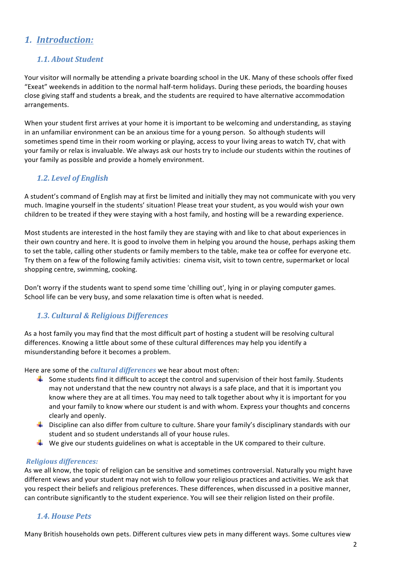## *1. Introduction:*

## *1.1. About Student*

Your visitor will normally be attending a private boarding school in the UK. Many of these schools offer fixed "Exeat" weekends in addition to the normal half-term holidays. During these periods, the boarding houses close giving staff and students a break, and the students are required to have alternative accommodation arrangements. 

When your student first arrives at your home it is important to be welcoming and understanding, as staying in an unfamiliar environment can be an anxious time for a young person. So although students will sometimes spend time in their room working or playing, access to your living areas to watch TV, chat with your family or relax is invaluable. We always ask our hosts try to include our students within the routines of your family as possible and provide a homely environment.

## *1.2. Level of English*

A student's command of English may at first be limited and initially they may not communicate with you very much. Imagine yourself in the students' situation! Please treat your student, as you would wish your own children to be treated if they were staying with a host family, and hosting will be a rewarding experience.

Most students are interested in the host family they are staying with and like to chat about experiences in their own country and here. It is good to involve them in helping you around the house, perhaps asking them to set the table, calling other students or family members to the table, make tea or coffee for everyone etc. Try them on a few of the following family activities: cinema visit, visit to town centre, supermarket or local shopping centre, swimming, cooking.

Don't worry if the students want to spend some time 'chilling out', lying in or playing computer games. School life can be very busy, and some relaxation time is often what is needed.

## *1.3. Cultural & Religious Differences*

As a host family you may find that the most difficult part of hosting a student will be resolving cultural differences. Knowing a little about some of these cultural differences may help you identify a misunderstanding before it becomes a problem.

Here are some of the *cultural differences* we hear about most often:

- $\frac{4}{10}$  Some students find it difficult to accept the control and supervision of their host family. Students may not understand that the new country not always is a safe place, and that it is important you know where they are at all times. You may need to talk together about why it is important for you and your family to know where our student is and with whom. Express your thoughts and concerns clearly and openly.
- $\ddotplus$  Discipline can also differ from culture to culture. Share your family's disciplinary standards with our student and so student understands all of your house rules.
- $\blacksquare$  We give our students guidelines on what is acceptable in the UK compared to their culture.

#### *Religious differences:*

As we all know, the topic of religion can be sensitive and sometimes controversial. Naturally you might have different views and your student may not wish to follow your religious practices and activities. We ask that you respect their beliefs and religious preferences. These differences, when discussed in a positive manner, can contribute significantly to the student experience. You will see their religion listed on their profile.

#### *1.4. House Pets*

Many British households own pets. Different cultures view pets in many different ways. Some cultures view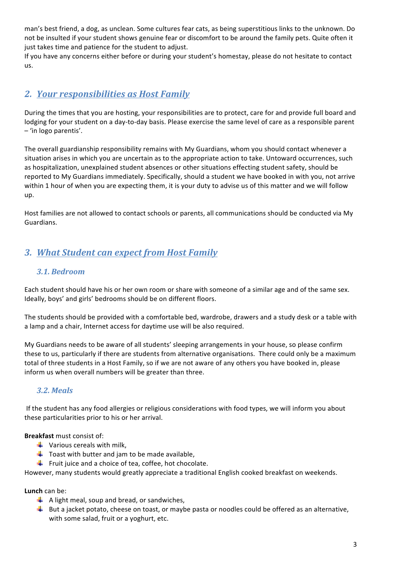man's best friend, a dog, as unclean. Some cultures fear cats, as being superstitious links to the unknown. Do not be insulted if your student shows genuine fear or discomfort to be around the family pets. Quite often it just takes time and patience for the student to adjust.

If you have any concerns either before or during your student's homestay, please do not hesitate to contact us.

## **2. Your responsibilities as Host Family**

During the times that you are hosting, your responsibilities are to protect, care for and provide full board and lodging for your student on a day-to-day basis. Please exercise the same level of care as a responsible parent – 'in logo parentis'.

The overall guardianship responsibility remains with My Guardians, whom you should contact whenever a situation arises in which you are uncertain as to the appropriate action to take. Untoward occurrences, such as hospitalization, unexplained student absences or other situations effecting student safety, should be reported to My Guardians immediately. Specifically, should a student we have booked in with you, not arrive within 1 hour of when you are expecting them, it is your duty to advise us of this matter and we will follow up.

Host families are not allowed to contact schools or parents, all communications should be conducted via My Guardians.

# *3. What Student can expect from Host Family*

## *3.1. Bedroom*

Each student should have his or her own room or share with someone of a similar age and of the same sex. Ideally, boys' and girls' bedrooms should be on different floors.

The students should be provided with a comfortable bed, wardrobe, drawers and a study desk or a table with a lamp and a chair, Internet access for daytime use will be also required.

My Guardians needs to be aware of all students' sleeping arrangements in your house, so please confirm these to us, particularly if there are students from alternative organisations. There could only be a maximum total of three students in a Host Family, so if we are not aware of any others you have booked in, please inform us when overall numbers will be greater than three.

## *3.2. Meals*

If the student has any food allergies or religious considerations with food types, we will inform you about these particularities prior to his or her arrival.

**Breakfast** must consist of:

- $\frac{1}{\sqrt{2}}$  Various cereals with milk.
- $\downarrow$  Toast with butter and jam to be made available,
- Fruit juice and a choice of tea, coffee, hot chocolate.

However, many students would greatly appreciate a traditional English cooked breakfast on weekends.

**Lunch** can be:

- $\downarrow$  A light meal, soup and bread, or sandwiches,
- $\downarrow$  But a jacket potato, cheese on toast, or maybe pasta or noodles could be offered as an alternative, with some salad, fruit or a yoghurt, etc.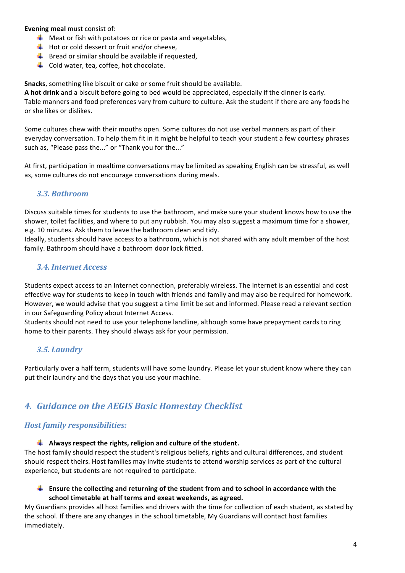**Evening meal** must consist of:

- $\downarrow$  Meat or fish with potatoes or rice or pasta and vegetables,
- $\overline{\phantom{a}^+}$  Hot or cold dessert or fruit and/or cheese,
- $\overline{\textbf{B}}$  Bread or similar should be available if requested,
- $\overline{\phantom{a}^+}$  Cold water, tea, coffee, hot chocolate.

**Snacks**, something like biscuit or cake or some fruit should be available.

A hot drink and a biscuit before going to bed would be appreciated, especially if the dinner is early. Table manners and food preferences vary from culture to culture. Ask the student if there are any foods he or she likes or dislikes.

Some cultures chew with their mouths open. Some cultures do not use verbal manners as part of their everyday conversation. To help them fit in it might be helpful to teach your student a few courtesy phrases such as, "Please pass the..." or "Thank you for the..."

At first, participation in mealtime conversations may be limited as speaking English can be stressful, as well as, some cultures do not encourage conversations during meals.

## *3.3. Bathroom*

Discuss suitable times for students to use the bathroom, and make sure your student knows how to use the shower, toilet facilities, and where to put any rubbish. You may also suggest a maximum time for a shower, e.g. 10 minutes. Ask them to leave the bathroom clean and tidy.

Ideally, students should have access to a bathroom, which is not shared with any adult member of the host family. Bathroom should have a bathroom door lock fitted.

#### *3.4. Internet Access*

Students expect access to an Internet connection, preferably wireless. The Internet is an essential and cost effective way for students to keep in touch with friends and family and may also be required for homework. However, we would advise that you suggest a time limit be set and informed. Please read a relevant section in our Safeguarding Policy about Internet Access.

Students should not need to use your telephone landline, although some have prepayment cards to ring home to their parents. They should always ask for your permission.

## *3.5. Laundry*

Particularly over a half term, students will have some laundry. Please let your student know where they can put their laundry and the days that you use your machine.

# *4. Guidance on the AEGIS Basic Homestay Checklist*

## *Host family responsibilities:*

 $\downarrow$  Always respect the rights, religion and culture of the student.

The host family should respect the student's religious beliefs, rights and cultural differences, and student should respect theirs. Host families may invite students to attend worship services as part of the cultural experience, but students are not required to participate.

**Ensure the collecting and returning of the student from and to school in accordance with the** school timetable at half terms and exeat weekends, as agreed.

My Guardians provides all host families and drivers with the time for collection of each student, as stated by the school. If there are any changes in the school timetable, My Guardians will contact host families immediately.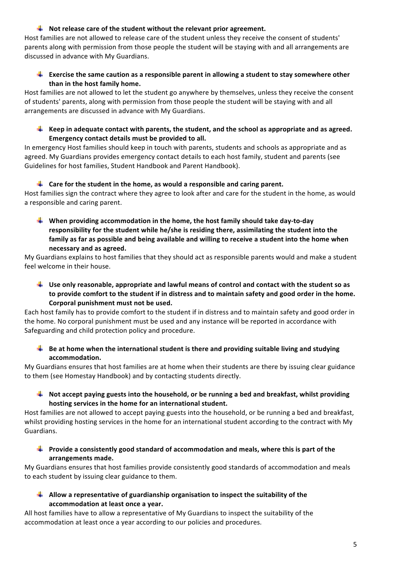#### $\downarrow$  Not release care of the student without the relevant prior agreement.

Host families are not allowed to release care of the student unless they receive the consent of students' parents along with permission from those people the student will be staying with and all arrangements are discussed in advance with My Guardians.

#### **Exercise the same caution as a responsible parent in allowing a student to stay somewhere other** than in the host family home.

Host families are not allowed to let the student go anywhere by themselves, unless they receive the consent of students' parents, along with permission from those people the student will be staying with and all arrangements are discussed in advance with My Guardians.

**Keep in adequate contact with parents, the student, and the school as appropriate and as agreed.** Emergency contact details must be provided to all.

In emergency Host families should keep in touch with parents, students and schools as appropriate and as agreed. My Guardians provides emergency contact details to each host family, student and parents (see Guidelines for host families, Student Handbook and Parent Handbook).

#### **Let us for the student in the home, as would a responsible and caring parent.**

Host families sign the contract where they agree to look after and care for the student in the home, as would a responsible and caring parent.

**When providing accommodation in the home, the host family should take day-to-day** responsibility for the student while he/she is residing there, assimilating the student into the family as far as possible and being available and willing to receive a student into the home when **necessary and as agreed.** 

My Guardians explains to host families that they should act as responsible parents would and make a student feel welcome in their house.

**Use only reasonable, appropriate and lawful means of control and contact with the student so as** to provide comfort to the student if in distress and to maintain safety and good order in the home. Corporal punishment must not be used.

Each host family has to provide comfort to the student if in distress and to maintain safety and good order in the home. No corporal punishment must be used and any instance will be reported in accordance with Safeguarding and child protection policy and procedure.

**Be** at home when the international student is there and providing suitable living and studying **accommodation.** 

My Guardians ensures that host families are at home when their students are there by issuing clear guidance to them (see Homestay Handbook) and by contacting students directly.

 $\blacksquare$  Not accept paying guests into the household, or be running a bed and breakfast, whilst providing hosting services in the home for an international student.

Host families are not allowed to accept paying guests into the household, or be running a bed and breakfast, whilst providing hosting services in the home for an international student according to the contract with My Guardians.

**Provide a consistently good standard of accommodation and meals, where this is part of the arrangements made.** 

My Guardians ensures that host families provide consistently good standards of accommodation and meals to each student by issuing clear guidance to them.

**Allow** a representative of guardianship organisation to inspect the suitability of the accommodation at least once a year.

All host families have to allow a representative of My Guardians to inspect the suitability of the accommodation at least once a year according to our policies and procedures.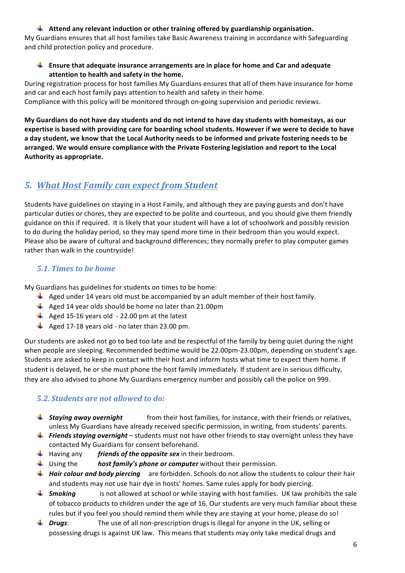#### **Attend any relevant induction or other training offered by guardianship organisation.**

My Guardians ensures that all host families take Basic Awareness training in accordance with Safeguarding and child protection policy and procedure.

#### **Ensure that adequate insurance arrangements are in place for home and Car and adequate** attention to health and safety in the home.

During registration process for host families My Guardians ensures that all of them have insurance for home and car and each host family pays attention to health and safety in their home. Compliance with this policy will be monitored through on-going supervision and periodic reviews.

My Guardians do not have day students and do not intend to have day students with homestays, as our expertise is based with providing care for boarding school students. However if we were to decide to have a day student, we know that the Local Authority needs to be informed and private fostering needs to be arranged. We would ensure compliance with the Private Fostering legislation and report to the Local **Authority as appropriate.**

## *5. What Host Family can expect from Student*

Students have guidelines on staying in a Host Family, and although they are paying guests and don't have particular duties or chores, they are expected to be polite and courteous, and you should give them friendly guidance on this if required. It is likely that your student will have a lot of schoolwork and possibly revision to do during the holiday period, so they may spend more time in their bedroom than you would expect. Please also be aware of cultural and background differences; they normally prefer to play computer games rather than walk in the countryside!

## *5.1. Times to be home*

My Guardians has guidelines for students on times to be home:

- $\perp$  Aged under 14 years old must be accompanied by an adult member of their host family.
- $\downarrow$  Aged 14 year olds should be home no later than 21.00pm
- $\downarrow$  Aged 15-16 years old 22.00 pm at the latest
- $\downarrow$  Aged 17-18 years old no later than 23.00 pm.

Our students are asked not go to bed too late and be respectful of the family by being quiet during the night when people are sleeping. Recommended bedtime would be 22.00pm-23.00pm, depending on student's age. Students are asked to keep in contact with their host and inform hosts what time to expect them home. If student is delayed, he or she must phone the host family immediately. If student are in serious difficulty, they are also advised to phone My Guardians emergency number and possibly call the police on 999.

## *5.2. Students are not allowed to do:*

- **↓ Staying away overnight** from their host families, for instance, with their friends or relatives, unless My Guardians have already received specific permission, in writing, from students' parents.
- Friends staying overnight students must not have other friends to stay overnight unless they have contacted My Guardians for consent beforehand.
- **H** Having any *friends of the opposite sex* in their bedroom.
- **Using the** *host family's phone or computer* without their permission.
- Hair colour and body piercing are forbidden. Schools do not allow the students to colour their hair and students may not use hair dye in hosts' homes. Same rules apply for body piercing.
- **F Smoking** is not allowed at school or while staying with host families. UK law prohibits the sale of tobacco products to children under the age of 16. Our students are very much familiar about these rules but if you feel you should remind them while they are staying at your home, please do so!
- *L* Drugs: The use of all non-prescription drugs is illegal for anyone in the UK, selling or possessing drugs is against UK law. This means that students may only take medical drugs and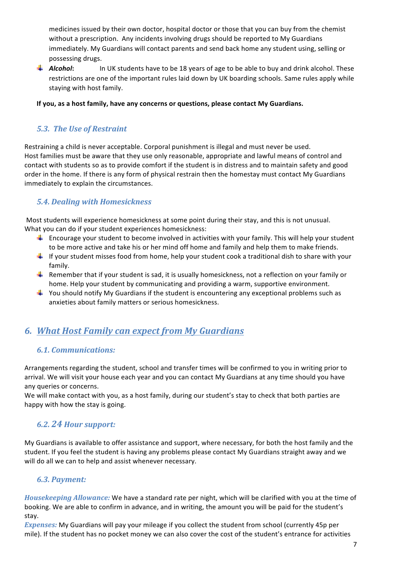medicines issued by their own doctor, hospital doctor or those that you can buy from the chemist without a prescription. Any incidents involving drugs should be reported to My Guardians immediately. My Guardians will contact parents and send back home any student using, selling or possessing drugs.

**4** Alcohol: In UK students have to be 18 years of age to be able to buy and drink alcohol. These restrictions are one of the important rules laid down by UK boarding schools. Same rules apply while staving with host family.

#### If you, as a host family, have any concerns or questions, please contact My Guardians.

## *5.3. The Use of Restraint*

Restraining a child is never acceptable. Corporal punishment is illegal and must never be used. Host families must be aware that they use only reasonable, appropriate and lawful means of control and contact with students so as to provide comfort if the student is in distress and to maintain safety and good order in the home. If there is any form of physical restrain then the homestay must contact My Guardians immediately to explain the circumstances.

## *5.4. Dealing with Homesickness*

Most students will experience homesickness at some point during their stay, and this is not unusual. What you can do if your student experiences homesickness:

- $\ddot{\textbf{I}}$  Encourage your student to become involved in activities with your family. This will help your student to be more active and take his or her mind off home and family and help them to make friends.
- $\downarrow$  If your student misses food from home, help your student cook a traditional dish to share with your family.
- **F** Remember that if your student is sad, it is usually homesickness, not a reflection on your family or home. Help your student by communicating and providing a warm, supportive environment.
- $\ddot{\phantom{1}}$  You should notify My Guardians if the student is encountering any exceptional problems such as anxieties about family matters or serious homesickness.

## *6. What Host Family can expect from My Guardians*

## *6.1. Communications:*

Arrangements regarding the student, school and transfer times will be confirmed to you in writing prior to arrival. We will visit your house each year and you can contact My Guardians at any time should you have any queries or concerns.

We will make contact with you, as a host family, during our student's stay to check that both parties are happy with how the stay is going.

## *6.2. 24 Hour support:*

My Guardians is available to offer assistance and support, where necessary, for both the host family and the student. If you feel the student is having any problems please contact My Guardians straight away and we will do all we can to help and assist whenever necessary.

## *6.3. Payment:*

*Housekeeping Allowance:* We have a standard rate per night, which will be clarified with you at the time of booking. We are able to confirm in advance, and in writing, the amount you will be paid for the student's stay.

*Expenses:* My Guardians will pay your mileage if you collect the student from school (currently 45p per mile). If the student has no pocket money we can also cover the cost of the student's entrance for activities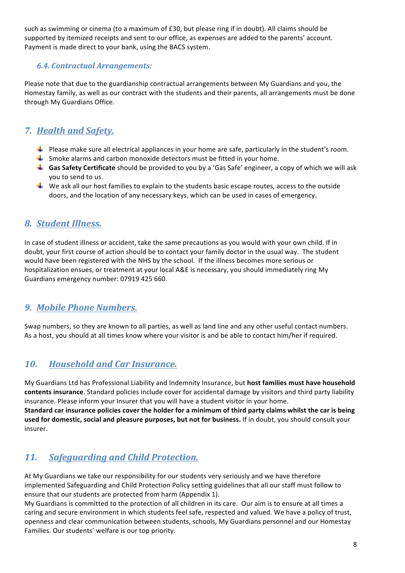such as swimming or cinema (to a maximum of £30, but please ring if in doubt). All claims should be supported by itemized receipts and sent to our office, as expenses are added to the parents' account. Payment is made direct to your bank, using the BACS system.

## *6.4. Contractual Arrangements:*

Please note that due to the guardianship contractual arrangements between My Guardians and you, the Homestay family, as well as our contract with the students and their parents, all arrangements must be done through My Guardians Office.

# *7. Health and Safety.*

- $\blacksquare$  Please make sure all electrical appliances in your home are safe, particularly in the student's room.
- $\ddot{\phantom{1}}$  Smoke alarms and carbon monoxide detectors must be fitted in your home.
- Gas Safety Certificate should be provided to you by a 'Gas Safe' engineer, a copy of which we will ask you to send to us.
- $\frac{4}{10}$  We ask all our host families to explain to the students basic escape routes, access to the outside doors, and the location of any necessary keys, which can be used in cases of emergency.

## *8. Student Illness.*

In case of student illness or accident, take the same precautions as you would with your own child. If in doubt, your first course of action should be to contact your family doctor in the usual way. The student would have been registered with the NHS by the school. If the illness becomes more serious or hospitalization ensues, or treatment at your local A&E is necessary, you should immediately ring My Guardians emergency number: 07919 425 660.

## *9. Mobile Phone Numbers.*

Swap numbers, so they are known to all parties, as well as land line and any other useful contact numbers. As a host, you should at all times know where your visitor is and be able to contact him/her if required.

## *10. Household and Car Insurance.*

My Guardians Ltd has Professional Liability and Indemnity Insurance, but host families must have household contents insurance. Standard policies include cover for accidental damage by visitors and third party liability insurance. Please inform your Insurer that you will have a student visitor in your home. Standard car insurance policies cover the holder for a minimum of third party claims whilst the car is being used for domestic, social and pleasure purposes, but not for business. If in doubt, you should consult your insurer.

# 11. *Safeguarding and Child Protection.*

At My Guardians we take our responsibility for our students very seriously and we have therefore implemented Safeguarding and Child Protection Policy setting guidelines that all our staff must follow to ensure that our students are protected from harm (Appendix 1).

My Guardians is committed to the protection of all children in its care. Our aim is to ensure at all times a caring and secure environment in which students feel safe, respected and valued. We have a policy of trust, openness and clear communication between students, schools, My Guardians personnel and our Homestay Families. Our students' welfare is our top priority.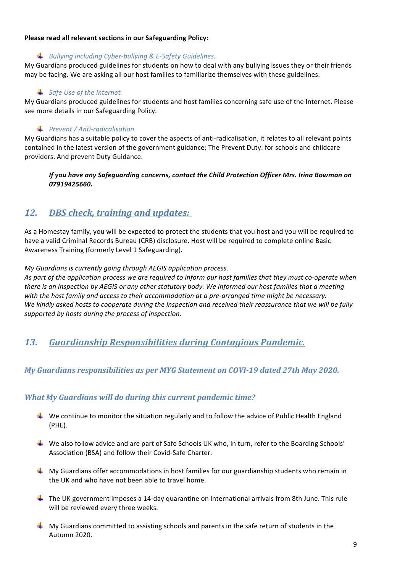#### **Please read all relevant sections in our Safeguarding Policy:**

#### *Bullying including Cyber-bullying & E-Safety Guidelines.*

My Guardians produced guidelines for students on how to deal with any bullying issues they or their friends may be facing. We are asking all our host families to familiarize themselves with these guidelines.

#### **↓** Safe Use of the Internet.

My Guardians produced guidelines for students and host families concerning safe use of the Internet. Please see more details in our Safeguarding Policy.

#### *Prevent / Anti-radicalisation.*

My Guardians has a suitable policy to cover the aspects of anti-radicalisation, it relates to all relevant points contained in the latest version of the government guidance; The Prevent Duty: for schools and childcare providers. And prevent Duty Guidance.

*If* you have any Safeguarding concerns, contact the Child Protection Officer Mrs. Irina Bowman on *07919425660.*

## 12. *DBS* check, training and updates:

As a Homestay family, you will be expected to protect the students that you host and you will be required to have a valid Criminal Records Bureau (CRB) disclosure. Host will be required to complete online Basic Awareness Training (formerly Level 1 Safeguarding).

*My Guardians is currently going through AEGIS application process.* 

As part of the application process we are required to inform our host families that they must co-operate when *there is an inspection by AEGIS or any other statutory body. We informed our host families that a meeting with* the host family and access to their accommodation at a pre-arranged time might be necessary. We kindly asked hosts to cooperate during the inspection and received their reassurance that we will be fully *supported by hosts during the process of inspection.*

## *13. Guardianship Responsibilities during Contagious Pandemic.*

## *My Guardians responsibilities as per MYG Statement on COVI-19 dated 27th May 2020.*

## *What My Guardians will do during this current pandemic time?*

- $\downarrow$  We continue to monitor the situation regularly and to follow the advice of Public Health England (PHE).
- $\ddot{\phantom{1}}$  We also follow advice and are part of Safe Schools UK who, in turn, refer to the Boarding Schools' Association (BSA) and follow their Covid-Safe Charter.
- $\blacksquare$  My Guardians offer accommodations in host families for our guardianship students who remain in the UK and who have not been able to travel home.
- $\ddot{+}$  The UK government imposes a 14-day quarantine on international arrivals from 8th June. This rule will be reviewed every three weeks.
- $\blacksquare$  My Guardians committed to assisting schools and parents in the safe return of students in the Autumn 2020.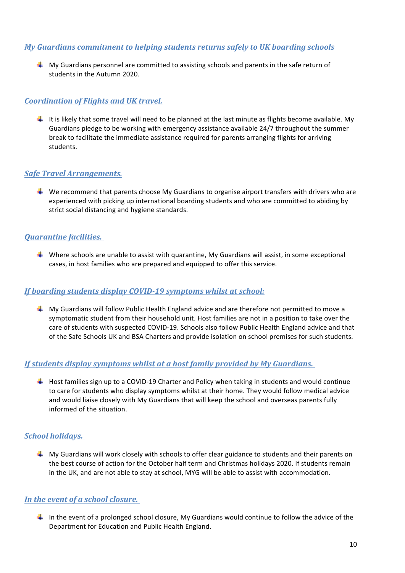#### *My Guardians commitment to helping students returns safely to UK boarding schools*

 $\downarrow$  My Guardians personnel are committed to assisting schools and parents in the safe return of students in the Autumn 2020.

#### *Coordination of Flights and UK travel.*

It is likely that some travel will need to be planned at the last minute as flights become available. My Guardians pledge to be working with emergency assistance available 24/7 throughout the summer break to facilitate the immediate assistance required for parents arranging flights for arriving students.

#### *Safe Travel Arrangements.*

 $\textcolor{red}{\textbf{4}}$  We recommend that parents choose My Guardians to organise airport transfers with drivers who are experienced with picking up international boarding students and who are committed to abiding by strict social distancing and hygiene standards.

#### *Quarantine facilities.*

Where schools are unable to assist with quarantine, My Guardians will assist, in some exceptional cases, in host families who are prepared and equipped to offer this service.

#### *If boarding students display COVID-19 symptoms whilst at school:*

 $\perp$  My Guardians will follow Public Health England advice and are therefore not permitted to move a symptomatic student from their household unit. Host families are not in a position to take over the care of students with suspected COVID-19. Schools also follow Public Health England advice and that of the Safe Schools UK and BSA Charters and provide isolation on school premises for such students.

#### If students display symptoms whilst at a host family provided by My Guardians.

 $\pm$  Host families sign up to a COVID-19 Charter and Policy when taking in students and would continue to care for students who display symptoms whilst at their home. They would follow medical advice and would liaise closely with My Guardians that will keep the school and overseas parents fully informed of the situation.

#### *School holidays.*

 $\blacksquare$  My Guardians will work closely with schools to offer clear guidance to students and their parents on the best course of action for the October half term and Christmas holidays 2020. If students remain in the UK, and are not able to stay at school, MYG will be able to assist with accommodation.

## In the event of a school closure.

In the event of a prolonged school closure, My Guardians would continue to follow the advice of the Department for Education and Public Health England.